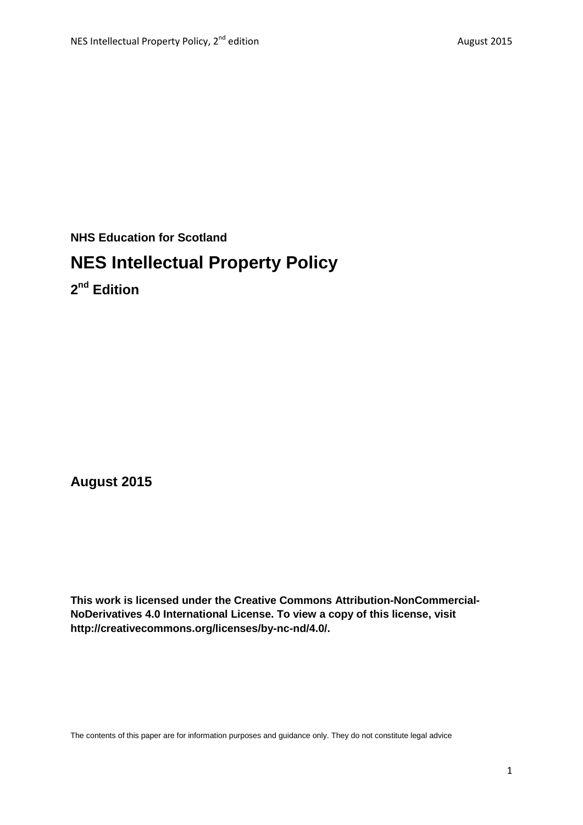**NHS Education for Scotland**

# **NES Intellectual Property Policy**

**2nd Edition**

**August 2015**

**This work is licensed under the Creative Commons Attribution-NonCommercial-NoDerivatives 4.0 International License. To view a copy of this license, visit http://creativecommons.org/licenses/by-nc-nd/4.0/.**

The contents of this paper are for information purposes and guidance only. They do not constitute legal advice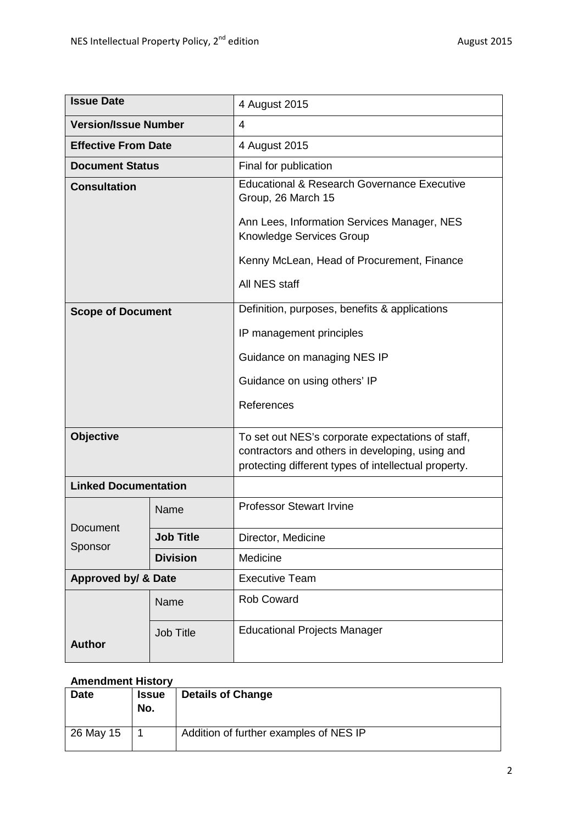| <b>Issue Date</b>           |                  | 4 August 2015                                                                                                                                                |
|-----------------------------|------------------|--------------------------------------------------------------------------------------------------------------------------------------------------------------|
| <b>Version/Issue Number</b> |                  | 4                                                                                                                                                            |
| <b>Effective From Date</b>  |                  | 4 August 2015                                                                                                                                                |
| <b>Document Status</b>      |                  | Final for publication                                                                                                                                        |
| <b>Consultation</b>         |                  | Educational & Research Governance Executive<br>Group, 26 March 15                                                                                            |
|                             |                  | Ann Lees, Information Services Manager, NES<br>Knowledge Services Group                                                                                      |
|                             |                  | Kenny McLean, Head of Procurement, Finance                                                                                                                   |
|                             |                  | All NES staff                                                                                                                                                |
| <b>Scope of Document</b>    |                  | Definition, purposes, benefits & applications                                                                                                                |
|                             |                  | IP management principles                                                                                                                                     |
|                             |                  | Guidance on managing NES IP                                                                                                                                  |
|                             |                  | Guidance on using others' IP                                                                                                                                 |
|                             |                  | References                                                                                                                                                   |
| <b>Objective</b>            |                  | To set out NES's corporate expectations of staff,<br>contractors and others in developing, using and<br>protecting different types of intellectual property. |
| <b>Linked Documentation</b> |                  |                                                                                                                                                              |
| Document<br>Sponsor         | Name             | <b>Professor Stewart Irvine</b>                                                                                                                              |
|                             | <b>Job Title</b> | Director, Medicine                                                                                                                                           |
|                             | <b>Division</b>  | Medicine                                                                                                                                                     |
| Approved by/ & Date         |                  | <b>Executive Team</b>                                                                                                                                        |
|                             | Name             | Rob Coward                                                                                                                                                   |
| <b>Author</b>               | <b>Job Title</b> | <b>Educational Projects Manager</b>                                                                                                                          |

#### **Amendment History**

| <b>Date</b> | <b>Issue</b><br>No. | <b>Details of Change</b>               |
|-------------|---------------------|----------------------------------------|
| 26 May 15   |                     | Addition of further examples of NES IP |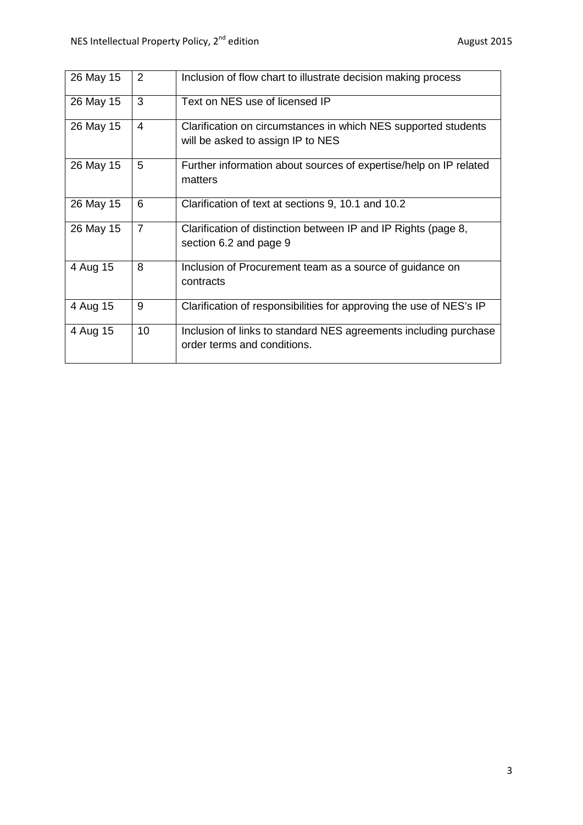| 26 May 15 | 2              | Inclusion of flow chart to illustrate decision making process                                       |
|-----------|----------------|-----------------------------------------------------------------------------------------------------|
| 26 May 15 | 3              | Text on NES use of licensed IP                                                                      |
| 26 May 15 | 4              | Clarification on circumstances in which NES supported students<br>will be asked to assign IP to NES |
| 26 May 15 | 5              | Further information about sources of expertise/help on IP related<br>matters                        |
| 26 May 15 | 6              | Clarification of text at sections 9, 10.1 and 10.2                                                  |
| 26 May 15 | $\overline{7}$ | Clarification of distinction between IP and IP Rights (page 8,<br>section 6.2 and page 9            |
| 4 Aug 15  | 8              | Inclusion of Procurement team as a source of guidance on<br>contracts                               |
| 4 Aug 15  | 9              | Clarification of responsibilities for approving the use of NES's IP                                 |
| 4 Aug 15  | 10             | Inclusion of links to standard NES agreements including purchase<br>order terms and conditions.     |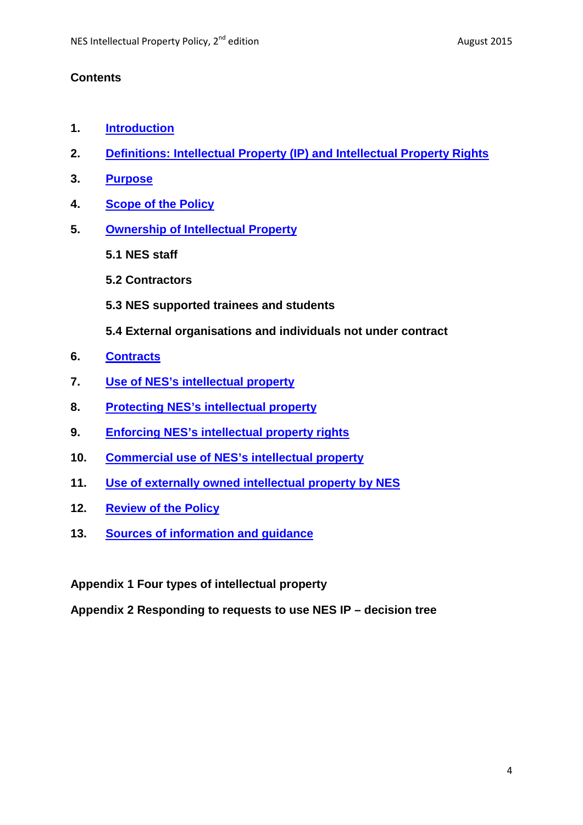#### **Contents**

- **1. [Introduction](#page-4-0)**
- **2. [Definitions: Intellectual Property \(IP\) and Intellectual Property Rights](#page-4-1)**
- **3. [Purpose](#page-4-2)**
- **4. [Scope of the Policy](#page-5-0)**
- **5. [Ownership of Intellectual Property](#page-5-1)**
	- **5.1 NES staff**
	- **5.2 Contractors**
	- **5.3 NES supported trainees and students**
	- **5.4 External organisations and individuals not under contract**
- **6. [Contracts](#page-8-0)**
- **7. [Use of NES's intellectual property](#page-9-0)**
- **8. [Protecting NES's intellectual property](#page-11-0)**
- **9. [Enforcing NES's intellectual property rights](#page-12-0)**
- **10. [Commercial use of NES's intellectual property](#page-12-1)**
- **11. [Use of externally owned intellectual property by NES](#page-12-2)**
- **12. [Review of the Policy](#page-15-0)**
- **13. [Sources of information and guidance](#page-4-1)**

**Appendix 1 Four types of intellectual property**

**Appendix 2 Responding to requests to use NES IP – decision tree**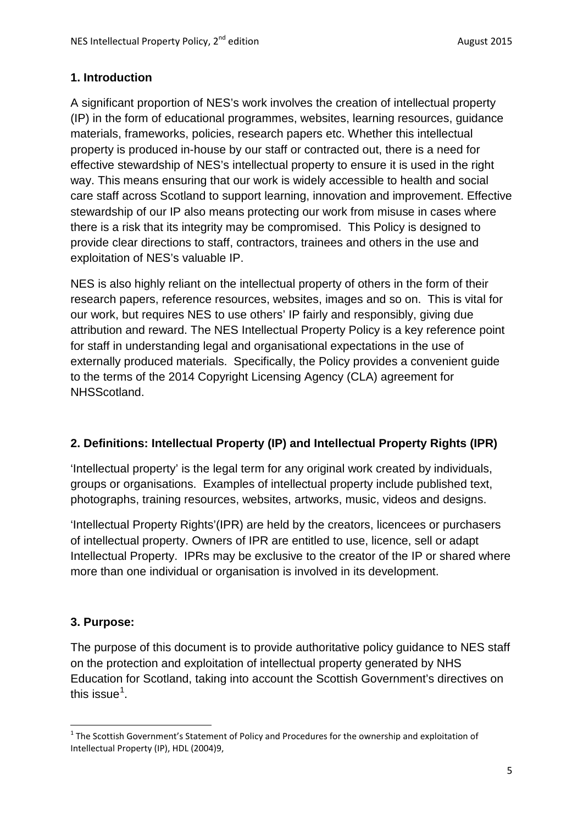## <span id="page-4-0"></span>**1. Introduction**

A significant proportion of NES's work involves the creation of intellectual property (IP) in the form of educational programmes, websites, learning resources, guidance materials, frameworks, policies, research papers etc. Whether this intellectual property is produced in-house by our staff or contracted out, there is a need for effective stewardship of NES's intellectual property to ensure it is used in the right way. This means ensuring that our work is widely accessible to health and social care staff across Scotland to support learning, innovation and improvement. Effective stewardship of our IP also means protecting our work from misuse in cases where there is a risk that its integrity may be compromised. This Policy is designed to provide clear directions to staff, contractors, trainees and others in the use and exploitation of NES's valuable IP.

NES is also highly reliant on the intellectual property of others in the form of their research papers, reference resources, websites, images and so on. This is vital for our work, but requires NES to use others' IP fairly and responsibly, giving due attribution and reward. The NES Intellectual Property Policy is a key reference point for staff in understanding legal and organisational expectations in the use of externally produced materials. Specifically, the Policy provides a convenient guide to the terms of the 2014 Copyright Licensing Agency (CLA) agreement for NHSScotland.

# <span id="page-4-1"></span>**2. Definitions: Intellectual Property (IP) and Intellectual Property Rights (IPR)**

'Intellectual property' is the legal term for any original work created by individuals, groups or organisations. Examples of intellectual property include published text, photographs, training resources, websites, artworks, music, videos and designs.

'Intellectual Property Rights'(IPR) are held by the creators, licencees or purchasers of intellectual property. Owners of IPR are entitled to use, licence, sell or adapt Intellectual Property. IPRs may be exclusive to the creator of the IP or shared where more than one individual or organisation is involved in its development.

#### <span id="page-4-2"></span>**3. Purpose:**

The purpose of this document is to provide authoritative policy guidance to NES staff on the protection and exploitation of intellectual property generated by NHS Education for Scotland, taking into account the Scottish Government's directives on this issue<sup>[1](#page-4-3)</sup>.

<span id="page-4-3"></span> $1$  The Scottish Government's Statement of Policy and Procedures for the ownership and exploitation of Intellectual Property (IP), HDL (2004)9,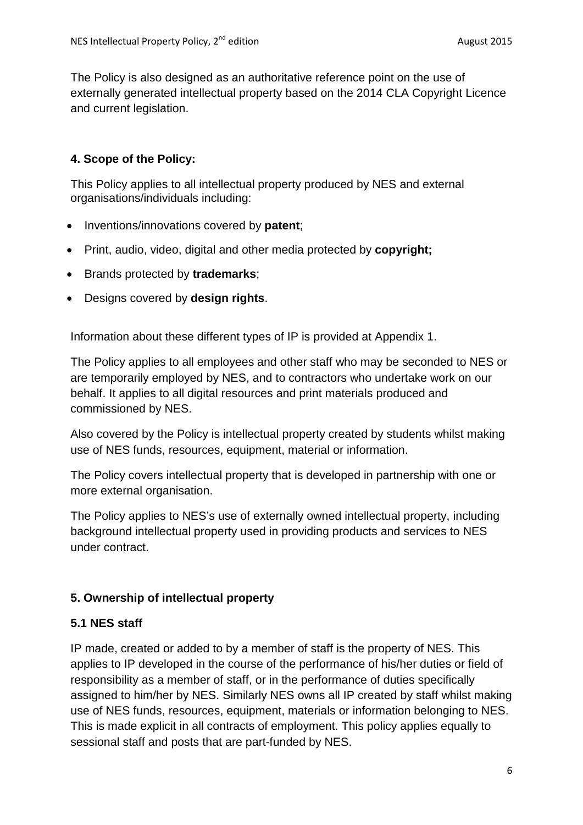The Policy is also designed as an authoritative reference point on the use of externally generated intellectual property based on the 2014 CLA Copyright Licence and current legislation.

# <span id="page-5-0"></span>**4. Scope of the Policy:**

This Policy applies to all intellectual property produced by NES and external organisations/individuals including:

- Inventions/innovations covered by **patent**;
- Print, audio, video, digital and other media protected by **copyright;**
- Brands protected by **trademarks**;
- Designs covered by **design rights**.

Information about these different types of IP is provided at Appendix 1.

The Policy applies to all employees and other staff who may be seconded to NES or are temporarily employed by NES, and to contractors who undertake work on our behalf. It applies to all digital resources and print materials produced and commissioned by NES.

Also covered by the Policy is intellectual property created by students whilst making use of NES funds, resources, equipment, material or information.

The Policy covers intellectual property that is developed in partnership with one or more external organisation.

The Policy applies to NES's use of externally owned intellectual property, including background intellectual property used in providing products and services to NES under contract.

#### <span id="page-5-1"></span>**5. Ownership of intellectual property**

#### **5.1 NES staff**

IP made, created or added to by a member of staff is the property of NES. This applies to IP developed in the course of the performance of his/her duties or field of responsibility as a member of staff, or in the performance of duties specifically assigned to him/her by NES. Similarly NES owns all IP created by staff whilst making use of NES funds, resources, equipment, materials or information belonging to NES. This is made explicit in all contracts of employment. This policy applies equally to sessional staff and posts that are part-funded by NES.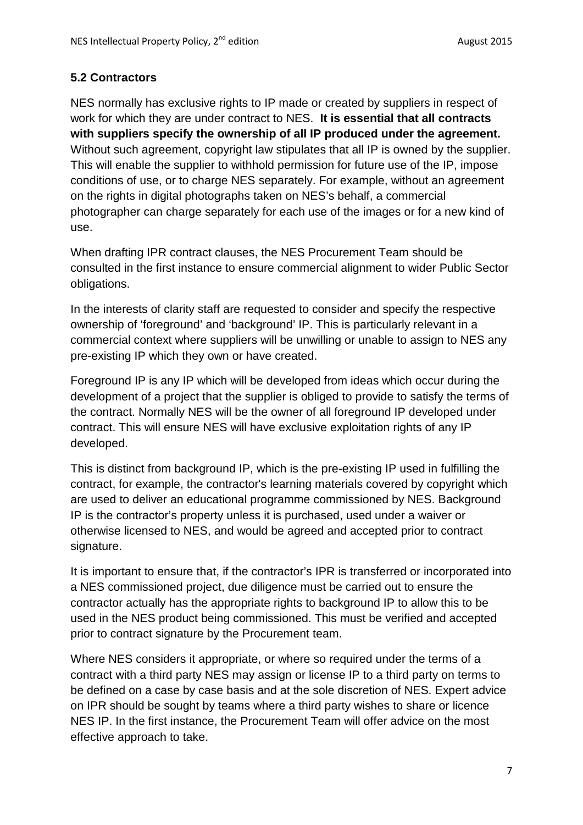#### **5.2 Contractors**

NES normally has exclusive rights to IP made or created by suppliers in respect of work for which they are under contract to NES. **It is essential that all contracts with suppliers specify the ownership of all IP produced under the agreement.** Without such agreement, copyright law stipulates that all IP is owned by the supplier. This will enable the supplier to withhold permission for future use of the IP, impose conditions of use, or to charge NES separately. For example, without an agreement on the rights in digital photographs taken on NES's behalf, a commercial photographer can charge separately for each use of the images or for a new kind of use.

When drafting IPR contract clauses, the NES Procurement Team should be consulted in the first instance to ensure commercial alignment to wider Public Sector obligations.

In the interests of clarity staff are requested to consider and specify the respective ownership of 'foreground' and 'background' IP. This is particularly relevant in a commercial context where suppliers will be unwilling or unable to assign to NES any pre-existing IP which they own or have created.

Foreground IP is any IP which will be developed from ideas which occur during the development of a project that the supplier is obliged to provide to satisfy the terms of the contract. Normally NES will be the owner of all foreground IP developed under contract. This will ensure NES will have exclusive exploitation rights of any IP developed.

This is distinct from background IP, which is the pre-existing IP used in fulfilling the contract, for example, the contractor's learning materials covered by copyright which are used to deliver an educational programme commissioned by NES. Background IP is the contractor's property unless it is purchased, used under a waiver or otherwise licensed to NES, and would be agreed and accepted prior to contract signature.

It is important to ensure that, if the contractor's IPR is transferred or incorporated into a NES commissioned project, due diligence must be carried out to ensure the contractor actually has the appropriate rights to background IP to allow this to be used in the NES product being commissioned. This must be verified and accepted prior to contract signature by the Procurement team.

Where NES considers it appropriate, or where so required under the terms of a contract with a third party NES may assign or license IP to a third party on terms to be defined on a case by case basis and at the sole discretion of NES. Expert advice on IPR should be sought by teams where a third party wishes to share or licence NES IP. In the first instance, the Procurement Team will offer advice on the most effective approach to take.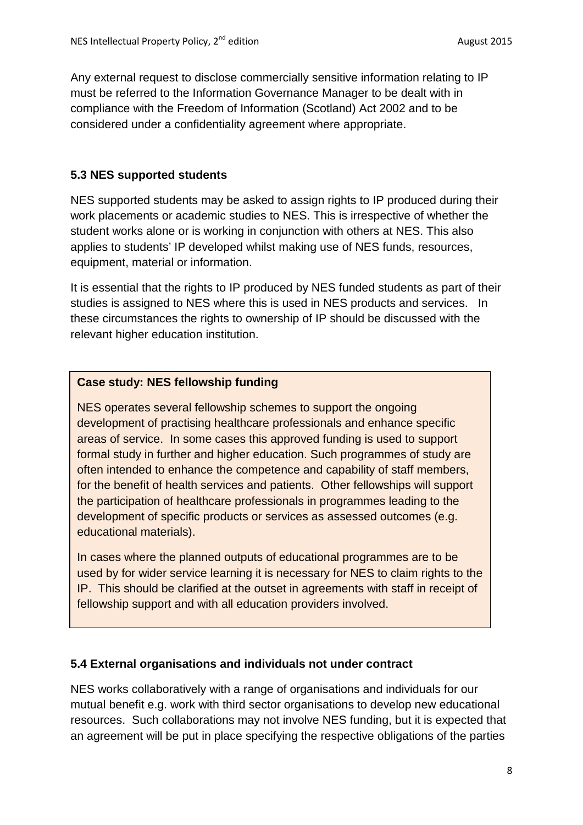Any external request to disclose commercially sensitive information relating to IP must be referred to the Information Governance Manager to be dealt with in compliance with the Freedom of Information (Scotland) Act 2002 and to be considered under a confidentiality agreement where appropriate.

# **5.3 NES supported students**

NES supported students may be asked to assign rights to IP produced during their work placements or academic studies to NES. This is irrespective of whether the student works alone or is working in conjunction with others at NES. This also applies to students' IP developed whilst making use of NES funds, resources, equipment, material or information.

It is essential that the rights to IP produced by NES funded students as part of their studies is assigned to NES where this is used in NES products and services. In these circumstances the rights to ownership of IP should be discussed with the relevant higher education institution.

# **Case study: NES fellowship funding**

NES operates several fellowship schemes to support the ongoing development of practising healthcare professionals and enhance specific areas of service. In some cases this approved funding is used to support formal study in further and higher education. Such programmes of study are often intended to enhance the competence and capability of staff members, for the benefit of health services and patients. Other fellowships will support the participation of healthcare professionals in programmes leading to the development of specific products or services as assessed outcomes (e.g. educational materials).

In cases where the planned outputs of educational programmes are to be used by for wider service learning it is necessary for NES to claim rights to the IP. This should be clarified at the outset in agreements with staff in receipt of fellowship support and with all education providers involved.

# **5.4 External organisations and individuals not under contract**

NES works collaboratively with a range of organisations and individuals for our mutual benefit e.g. work with third sector organisations to develop new educational resources. Such collaborations may not involve NES funding, but it is expected that an agreement will be put in place specifying the respective obligations of the parties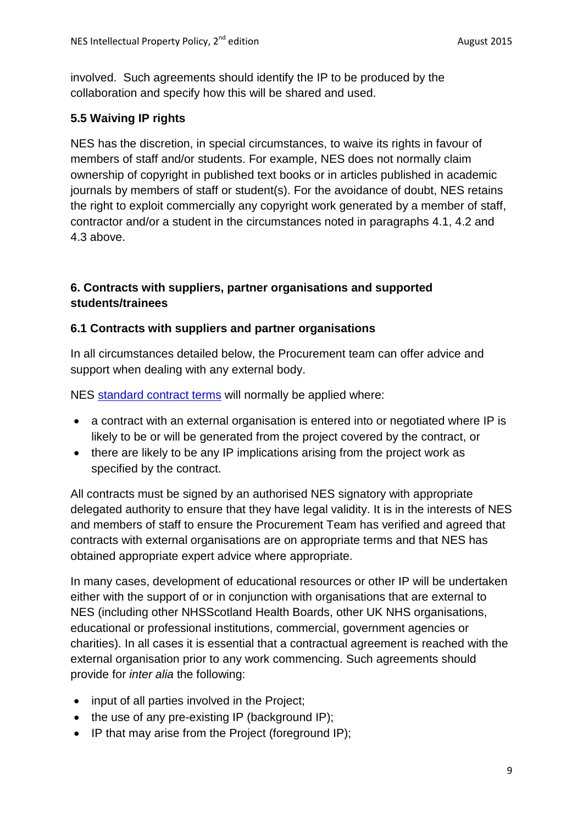involved. Such agreements should identify the IP to be produced by the collaboration and specify how this will be shared and used.

## **5.5 Waiving IP rights**

NES has the discretion, in special circumstances, to waive its rights in favour of members of staff and/or students. For example, NES does not normally claim ownership of copyright in published text books or in articles published in academic journals by members of staff or student(s). For the avoidance of doubt, NES retains the right to exploit commercially any copyright work generated by a member of staff, contractor and/or a student in the circumstances noted in paragraphs 4.1, 4.2 and 4.3 above.

# <span id="page-8-0"></span>**6. Contracts with suppliers, partner organisations and supported students/trainees**

#### **6.1 Contracts with suppliers and partner organisations**

In all circumstances detailed below, the Procurement team can offer advice and support when dealing with any external body.

NES [standard contract terms](http://www.nes.scot.nhs.uk/about-us/tenders/templates.aspx) will normally be applied where:

- a contract with an external organisation is entered into or negotiated where IP is likely to be or will be generated from the project covered by the contract, or
- there are likely to be any IP implications arising from the project work as specified by the contract.

All contracts must be signed by an authorised NES signatory with appropriate delegated authority to ensure that they have legal validity. It is in the interests of NES and members of staff to ensure the Procurement Team has verified and agreed that contracts with external organisations are on appropriate terms and that NES has obtained appropriate expert advice where appropriate.

In many cases, development of educational resources or other IP will be undertaken either with the support of or in conjunction with organisations that are external to NES (including other NHSScotland Health Boards, other UK NHS organisations, educational or professional institutions, commercial, government agencies or charities). In all cases it is essential that a contractual agreement is reached with the external organisation prior to any work commencing. Such agreements should provide for *inter alia* the following:

- input of all parties involved in the Project;
- the use of any pre-existing IP (background IP);
- IP that may arise from the Project (foreground IP);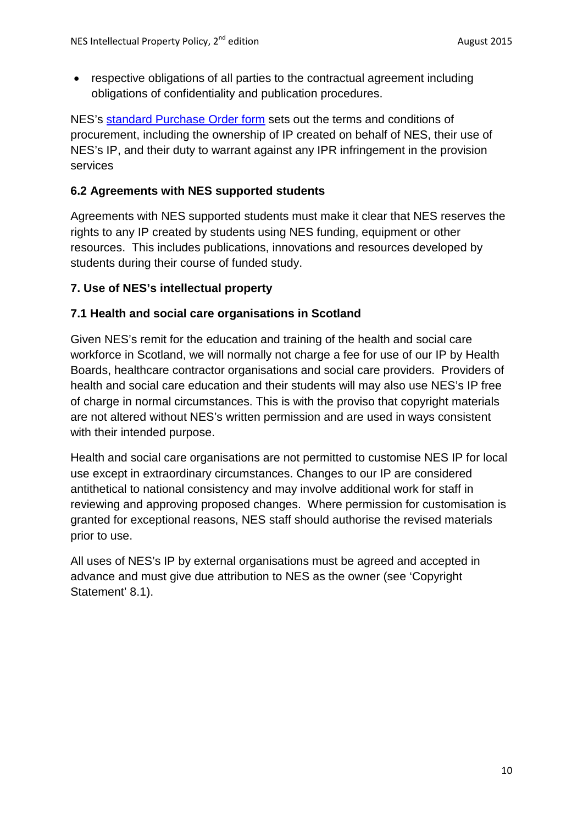• respective obligations of all parties to the contractual agreement including obligations of confidentiality and publication procedures.

NES's [standard Purchase Order form](http://www.nes.scot.nhs.uk/media/1445256/abridged_purchase_of_goods_ts_and_cs.pdf) sets out the terms and conditions of procurement, including the ownership of IP created on behalf of NES, their use of NES's IP, and their duty to warrant against any IPR infringement in the provision services

## **6.2 Agreements with NES supported students**

Agreements with NES supported students must make it clear that NES reserves the rights to any IP created by students using NES funding, equipment or other resources. This includes publications, innovations and resources developed by students during their course of funded study.

#### <span id="page-9-0"></span>**7. Use of NES's intellectual property**

# **7.1 Health and social care organisations in Scotland**

Given NES's remit for the education and training of the health and social care workforce in Scotland, we will normally not charge a fee for use of our IP by Health Boards, healthcare contractor organisations and social care providers. Providers of health and social care education and their students will may also use NES's IP free of charge in normal circumstances. This is with the proviso that copyright materials are not altered without NES's written permission and are used in ways consistent with their intended purpose.

Health and social care organisations are not permitted to customise NES IP for local use except in extraordinary circumstances. Changes to our IP are considered antithetical to national consistency and may involve additional work for staff in reviewing and approving proposed changes. Where permission for customisation is granted for exceptional reasons, NES staff should authorise the revised materials prior to use.

All uses of NES's IP by external organisations must be agreed and accepted in advance and must give due attribution to NES as the owner (see 'Copyright Statement' 8.1).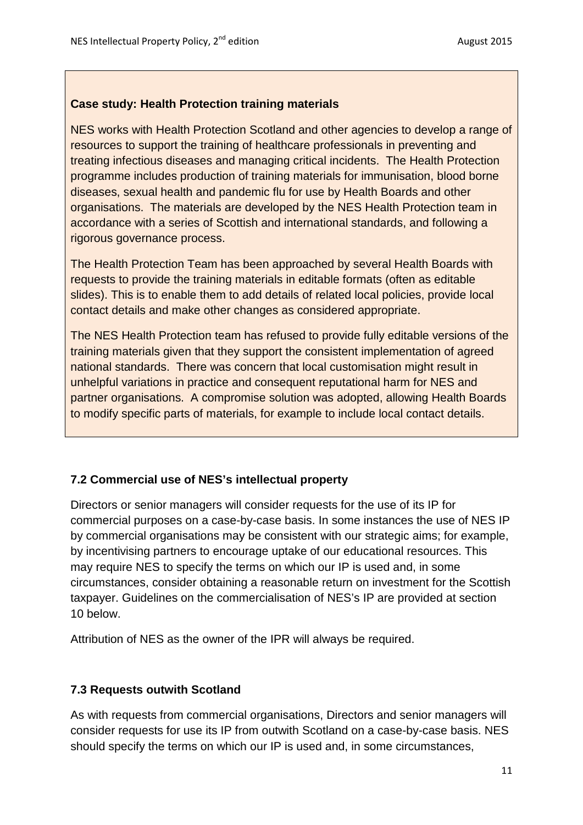#### **Case study: Health Protection training materials**

NES works with Health Protection Scotland and other agencies to develop a range of resources to support the training of healthcare professionals in preventing and treating infectious diseases and managing critical incidents. The Health Protection programme includes production of training materials for immunisation, blood borne diseases, sexual health and pandemic flu for use by Health Boards and other organisations. The materials are developed by the NES Health Protection team in accordance with a series of Scottish and international standards, and following a rigorous governance process.

The Health Protection Team has been approached by several Health Boards with requests to provide the training materials in editable formats (often as editable slides). This is to enable them to add details of related local policies, provide local contact details and make other changes as considered appropriate.

The NES Health Protection team has refused to provide fully editable versions of the training materials given that they support the consistent implementation of agreed national standards. There was concern that local customisation might result in unhelpful variations in practice and consequent reputational harm for NES and partner organisations. A compromise solution was adopted, allowing Health Boards to modify specific parts of materials, for example to include local contact details.

#### **7.2 Commercial use of NES's intellectual property**

Directors or senior managers will consider requests for the use of its IP for commercial purposes on a case-by-case basis. In some instances the use of NES IP by commercial organisations may be consistent with our strategic aims; for example, by incentivising partners to encourage uptake of our educational resources. This may require NES to specify the terms on which our IP is used and, in some circumstances, consider obtaining a reasonable return on investment for the Scottish taxpayer. Guidelines on the commercialisation of NES's IP are provided at section 10 below.

Attribution of NES as the owner of the IPR will always be required.

#### **7.3 Requests outwith Scotland**

As with requests from commercial organisations, Directors and senior managers will consider requests for use its IP from outwith Scotland on a case-by-case basis. NES should specify the terms on which our IP is used and, in some circumstances,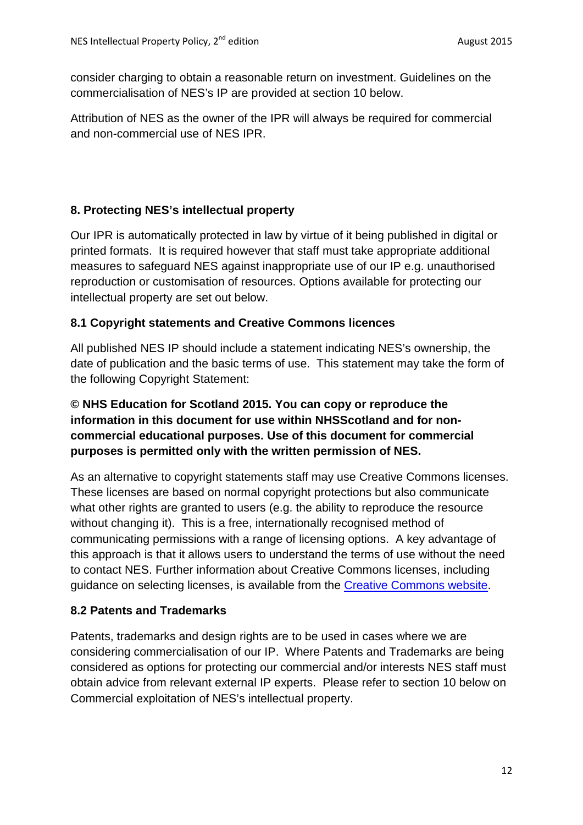consider charging to obtain a reasonable return on investment. Guidelines on the commercialisation of NES's IP are provided at section 10 below.

Attribution of NES as the owner of the IPR will always be required for commercial and non-commercial use of NES IPR.

# <span id="page-11-0"></span>**8. Protecting NES's intellectual property**

Our IPR is automatically protected in law by virtue of it being published in digital or printed formats. It is required however that staff must take appropriate additional measures to safeguard NES against inappropriate use of our IP e.g. unauthorised reproduction or customisation of resources. Options available for protecting our intellectual property are set out below.

#### **8.1 Copyright statements and Creative Commons licences**

All published NES IP should include a statement indicating NES's ownership, the date of publication and the basic terms of use. This statement may take the form of the following Copyright Statement:

# **© NHS Education for Scotland 2015. You can copy or reproduce the information in this document for use within NHSScotland and for noncommercial educational purposes. Use of this document for commercial purposes is permitted only with the written permission of NES.**

As an alternative to copyright statements staff may use Creative Commons licenses. These licenses are based on normal copyright protections but also communicate what other rights are granted to users (e.g. the ability to reproduce the resource without changing it). This is a free, internationally recognised method of communicating permissions with a range of licensing options. A key advantage of this approach is that it allows users to understand the terms of use without the need to contact NES. Further information about Creative Commons licenses, including guidance on selecting licenses, is available from the [Creative Commons website.](https://creativecommons.org/)

#### **8.2 Patents and Trademarks**

Patents, trademarks and design rights are to be used in cases where we are considering commercialisation of our IP. Where Patents and Trademarks are being considered as options for protecting our commercial and/or interests NES staff must obtain advice from relevant external IP experts. Please refer to section 10 below on Commercial exploitation of NES's intellectual property.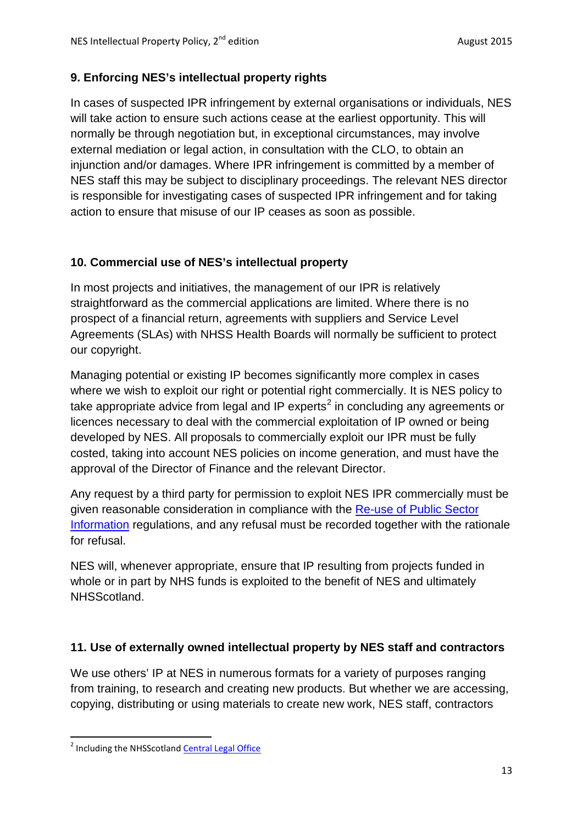# <span id="page-12-0"></span>**9. Enforcing NES's intellectual property rights**

In cases of suspected IPR infringement by external organisations or individuals, NES will take action to ensure such actions cease at the earliest opportunity. This will normally be through negotiation but, in exceptional circumstances, may involve external mediation or legal action, in consultation with the CLO, to obtain an injunction and/or damages. Where IPR infringement is committed by a member of NES staff this may be subject to disciplinary proceedings. The relevant NES director is responsible for investigating cases of suspected IPR infringement and for taking action to ensure that misuse of our IP ceases as soon as possible.

# <span id="page-12-1"></span>**10. Commercial use of NES's intellectual property**

In most projects and initiatives, the management of our IPR is relatively straightforward as the commercial applications are limited. Where there is no prospect of a financial return, agreements with suppliers and Service Level Agreements (SLAs) with NHSS Health Boards will normally be sufficient to protect our copyright.

Managing potential or existing IP becomes significantly more complex in cases where we wish to exploit our right or potential right commercially. It is NES policy to take appropriate advice from legal and IP experts<sup>[2](#page-12-3)</sup> in concluding any agreements or licences necessary to deal with the commercial exploitation of IP owned or being developed by NES. All proposals to commercially exploit our IPR must be fully costed, taking into account NES policies on income generation, and must have the approval of the Director of Finance and the relevant Director.

Any request by a third party for permission to exploit NES IPR commercially must be given reasonable consideration in compliance with the [Re-use of Public Sector](http://www.nationalarchives.gov.uk/documents/information-management/guide-to-applying-the-re-use-of-psi-regulations.pdf)  [Information](http://www.nationalarchives.gov.uk/documents/information-management/guide-to-applying-the-re-use-of-psi-regulations.pdf) regulations, and any refusal must be recorded together with the rationale for refusal.

NES will, whenever appropriate, ensure that IP resulting from projects funded in whole or in part by NHS funds is exploited to the benefit of NES and ultimately NHSScotland.

# <span id="page-12-2"></span>**11. Use of externally owned intellectual property by NES staff and contractors**

We use others' IP at NES in numerous formats for a variety of purposes ranging from training, to research and creating new products. But whether we are accessing, copying, distributing or using materials to create new work, NES staff, contractors

<span id="page-12-3"></span><sup>&</sup>lt;sup>2</sup> Including the NHSScotland [Central Legal Office](https://clo.scot.nhs.uk/our-services.aspx)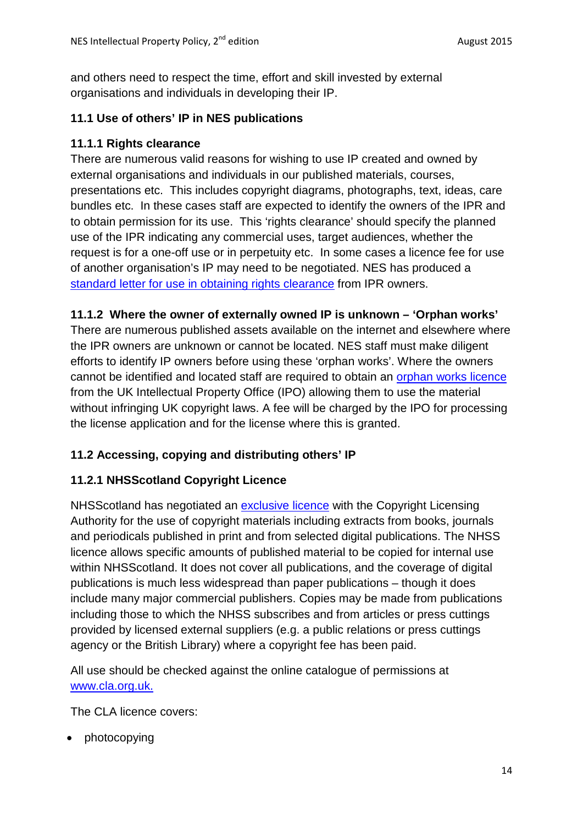and others need to respect the time, effort and skill invested by external organisations and individuals in developing their IP.

#### **11.1 Use of others' IP in NES publications**

#### **11.1.1 Rights clearance**

There are numerous valid reasons for wishing to use IP created and owned by external organisations and individuals in our published materials, courses, presentations etc. This includes copyright diagrams, photographs, text, ideas, care bundles etc. In these cases staff are expected to identify the owners of the IPR and to obtain permission for its use. This 'rights clearance' should specify the planned use of the IPR indicating any commercial uses, target audiences, whether the request is for a one-off use or in perpetuity etc. In some cases a licence fee for use of another organisation's IP may need to be negotiated. NES has produced a [standard letter for use in obtaining rights clearance](http://www.knowledge.scot.nhs.uk/media/6786789/3.2%20template%20rights%20clearance%20letter.pdf) from IPR owners.

#### **11.1.2 Where the owner of externally owned IP is unknown – 'Orphan works'**

There are numerous published assets available on the internet and elsewhere where the IPR owners are unknown or cannot be located. NES staff must make diligent efforts to identify IP owners before using these 'orphan works'. Where the owners cannot be identified and located staff are required to obtain an [orphan works licence](https://www.gov.uk/government/uploads/system/uploads/attachment_data/file/368417/orphan-applicants.pdf) from the UK Intellectual Property Office (IPO) allowing them to use the material without infringing UK copyright laws. A fee will be charged by the IPO for processing the license application and for the license where this is granted.

#### **11.2 Accessing, copying and distributing others' IP**

#### **11.2.1 NHSScotland Copyright Licence**

NHSScotland has negotiated an [exclusive licence](http://www.cla.co.uk/data/licences/nhss_explanatory_leaflet_2014_formatted.docx.pdf) with the Copyright Licensing Authority for the use of copyright materials including extracts from books, journals and periodicals published in print and from selected digital publications. The NHSS licence allows specific amounts of published material to be copied for internal use within NHSScotland. It does not cover all publications, and the coverage of digital publications is much less widespread than paper publications – though it does include many major commercial publishers. Copies may be made from publications including those to which the NHSS subscribes and from articles or press cuttings provided by licensed external suppliers (e.g. a public relations or press cuttings agency or the British Library) where a copyright fee has been paid.

All use should be checked against the online catalogue of permissions at [www.cla.org.uk.](https://ecms.nes.scot.nhs.uk:7070/alfresco/pcg/documentLibrary/Educational%20Governance/Educational%20Governance%20Policy/Intellectual%20Property/www.cla.org.uk.)

The CLA licence covers:

• photocopying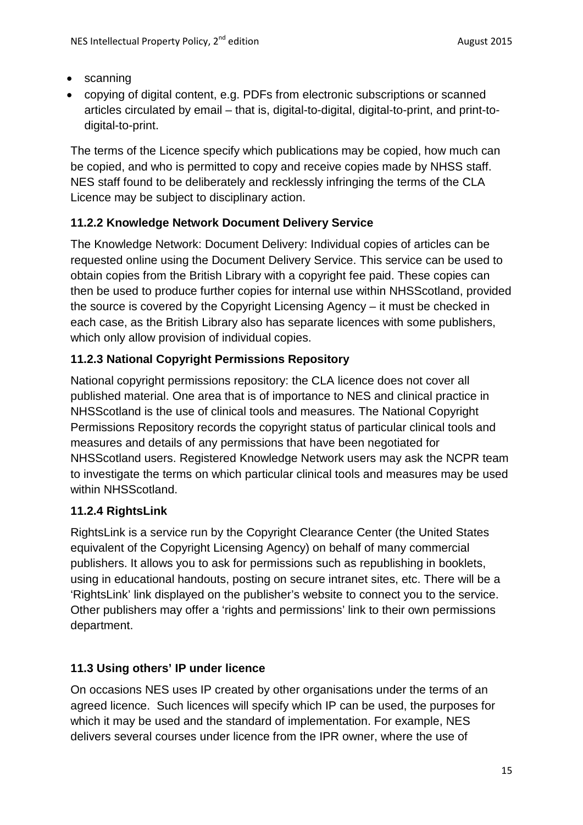- scanning
- copying of digital content, e.g. PDFs from electronic subscriptions or scanned articles circulated by email – that is, digital-to-digital, digital-to-print, and print-todigital-to-print.

The terms of the Licence specify which publications may be copied, how much can be copied, and who is permitted to copy and receive copies made by NHSS staff. NES staff found to be deliberately and recklessly infringing the terms of the CLA Licence may be subject to disciplinary action.

# **11.2.2 Knowledge Network Document Delivery Service**

The Knowledge Network: Document Delivery: Individual copies of articles can be requested online using the Document Delivery Service. This service can be used to obtain copies from the British Library with a copyright fee paid. These copies can then be used to produce further copies for internal use within NHSScotland, provided the source is covered by the Copyright Licensing Agency – it must be checked in each case, as the British Library also has separate licences with some publishers, which only allow provision of individual copies.

# **11.2.3 National Copyright Permissions Repository**

National copyright permissions repository: the CLA licence does not cover all published material. One area that is of importance to NES and clinical practice in NHSScotland is the use of clinical tools and measures. The National Copyright Permissions Repository records the copyright status of particular clinical tools and measures and details of any permissions that have been negotiated for NHSScotland users. Registered Knowledge Network users may ask the NCPR team to investigate the terms on which particular clinical tools and measures may be used within NHSScotland.

#### **11.2.4 RightsLink**

RightsLink is a service run by the Copyright Clearance Center (the United States equivalent of the Copyright Licensing Agency) on behalf of many commercial publishers. It allows you to ask for permissions such as republishing in booklets, using in educational handouts, posting on secure intranet sites, etc. There will be a 'RightsLink' link displayed on the publisher's website to connect you to the service. Other publishers may offer a 'rights and permissions' link to their own permissions department.

# **11.3 Using others' IP under licence**

On occasions NES uses IP created by other organisations under the terms of an agreed licence. Such licences will specify which IP can be used, the purposes for which it may be used and the standard of implementation. For example, NES delivers several courses under licence from the IPR owner, where the use of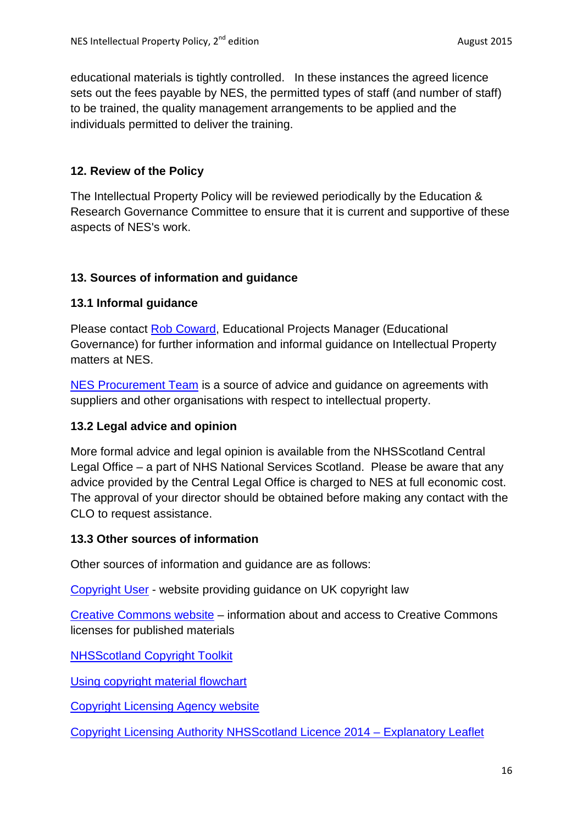educational materials is tightly controlled. In these instances the agreed licence sets out the fees payable by NES, the permitted types of staff (and number of staff) to be trained, the quality management arrangements to be applied and the individuals permitted to deliver the training.

## <span id="page-15-0"></span>**12. Review of the Policy**

The Intellectual Property Policy will be reviewed periodically by the Education & Research Governance Committee to ensure that it is current and supportive of these aspects of NES's work.

#### **13. Sources of information and guidance**

#### **13.1 Informal guidance**

Please contact [Rob Coward,](mailto:rob.coward@nes.scot.nhs.uk) Educational Projects Manager (Educational Governance) for further information and informal guidance on Intellectual Property matters at NES.

[NES Procurement Team](mailto:kenny.mcleaan) is a source of advice and guidance on agreements with suppliers and other organisations with respect to intellectual property.

#### **13.2 Legal advice and opinion**

More formal advice and legal opinion is available from the NHSScotland Central Legal Office – a part of NHS National Services Scotland. Please be aware that any advice provided by the Central Legal Office is charged to NES at full economic cost. The approval of your director should be obtained before making any contact with the CLO to request assistance.

#### **13.3 Other sources of information**

Other sources of information and guidance are as follows:

[Copyright User](http://copyrightuser.org/) - website providing guidance on UK copyright law

[Creative Commons website](https://creativecommons.org/) – information about and access to Creative Commons licenses for published materials

[NHSScotland Copyright Toolkit](http://www.knowledge.scot.nhs.uk/home/learning-and-cpd/learning-spaces/copyright.aspx)

[Using copyright material flowchart](http://www.knowledge.scot.nhs.uk/media/6785124/nhss_chartv5_web.pdf)

[Copyright Licensing Agency website](http://www.cla.co.uk/)

[Copyright Licensing Authority NHSScotland Licence 2014 –](http://www.cla.co.uk/data/licences/nhss_explanatory_leaflet_2014_formatted.docx.pdf) Explanatory Leaflet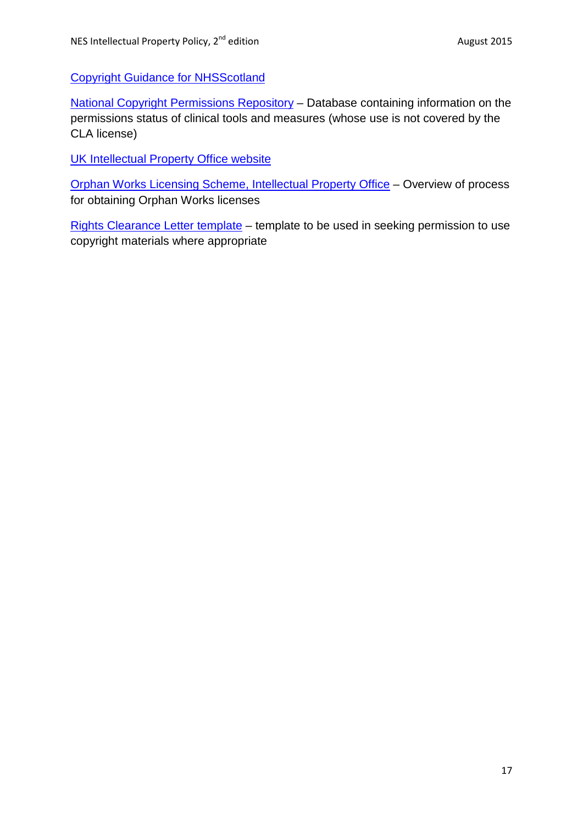[Copyright Guidance for NHSScotland](http://www.knowledge.scot.nhs.uk/media/8432630/nhss%20copyright%20summary%20guidance.pdf)

[National Copyright Permissions Repository](http://www.ncpr.scot.nhs.uk/) – Database containing information on the permissions status of clinical tools and measures (whose use is not covered by the CLA license)

[UK Intellectual Property Office website](http://www.ipo.gov.uk/)

[Orphan Works Licensing Scheme, Intellectual Property Office](https://www.gov.uk/government/uploads/system/uploads/attachment_data/file/368417/orphan-applicants.pdf) – Overview of process for obtaining Orphan Works licenses

[Rights Clearance Letter template](http://www.knowledge.scot.nhs.uk/media/6786789/3.2%20template%20rights%20clearance%20letter.pdf) – template to be used in seeking permission to use copyright materials where appropriate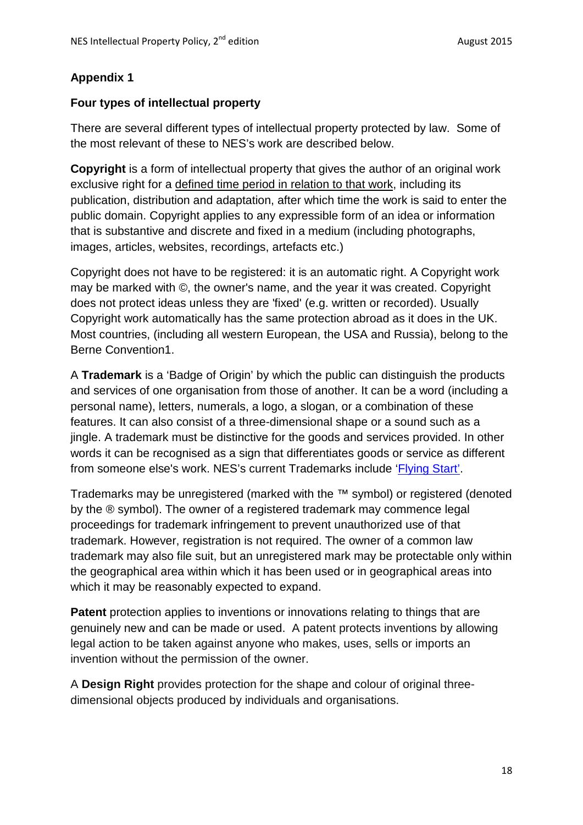# **Appendix 1**

#### **Four types of intellectual property**

There are several different types of intellectual property protected by law. Some of the most relevant of these to NES's work are described below.

**Copyright** is a form of intellectual property that gives the author of an original work exclusive right for a defined time period in relation to that work, including its publication, distribution and adaptation, after which time the work is said to enter the public domain. Copyright applies to any expressible form of an idea or information that is substantive and discrete and fixed in a medium (including photographs, images, articles, websites, recordings, artefacts etc.)

Copyright does not have to be registered: it is an automatic right. A Copyright work may be marked with ©, the owner's name, and the year it was created. Copyright does not protect ideas unless they are 'fixed' (e.g. written or recorded). Usually Copyright work automatically has the same protection abroad as it does in the UK. Most countries, (including all western European, the USA and Russia), belong to the Berne Convention1.

A **Trademark** is a 'Badge of Origin' by which the public can distinguish the products and services of one organisation from those of another. It can be a word (including a personal name), letters, numerals, a logo, a slogan, or a combination of these features. It can also consist of a three-dimensional shape or a sound such as a jingle. A trademark must be distinctive for the goods and services provided. In other words it can be recognised as a sign that differentiates goods or service as different from someone else's work. NES's current Trademarks include ['Flying](http://www.flyingstart.scot.nhs.uk/) Start'.

Trademarks may be unregistered (marked with the ™ symbol) or registered (denoted by the ® symbol). The owner of a registered trademark may commence legal proceedings for trademark infringement to prevent unauthorized use of that trademark. However, registration is not required. The owner of a common law trademark may also file suit, but an unregistered mark may be protectable only within the geographical area within which it has been used or in geographical areas into which it may be reasonably expected to expand.

**Patent** protection applies to inventions or innovations relating to things that are genuinely new and can be made or used. A patent protects inventions by allowing legal action to be taken against anyone who makes, uses, sells or imports an invention without the permission of the owner.

A **Design Right** provides protection for the shape and colour of original threedimensional objects produced by individuals and organisations.